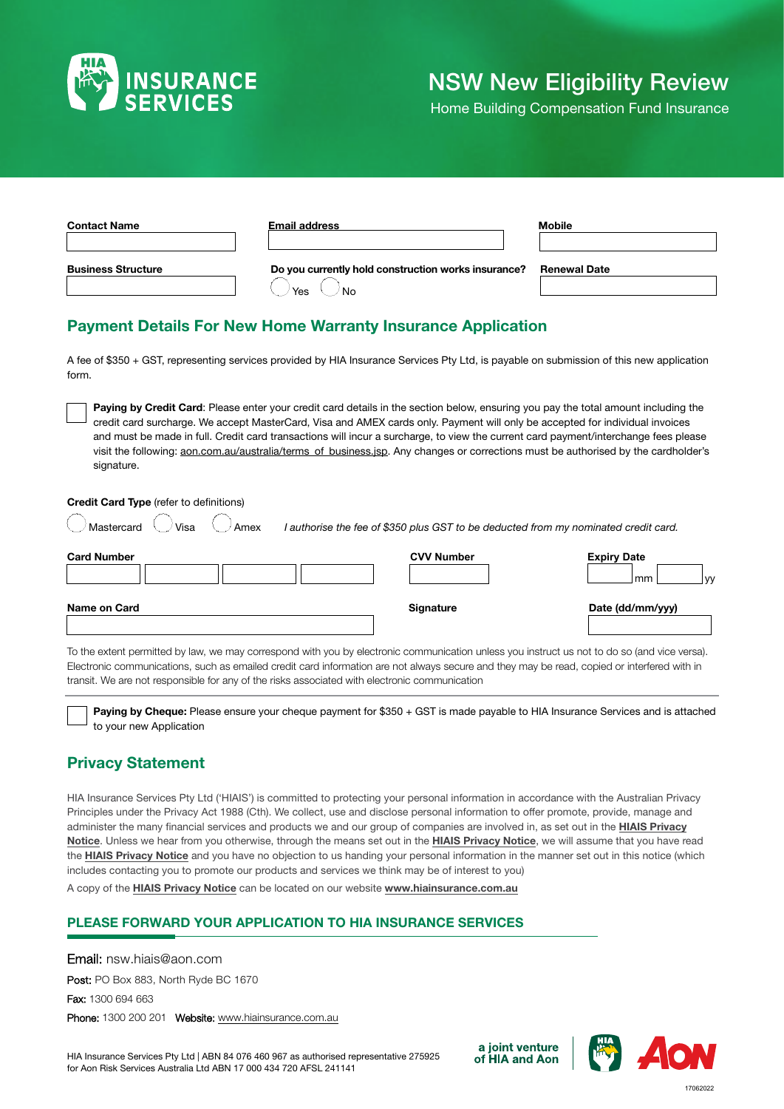

# NSW New Eligibility Review

Home Building Compensation Fund Insurance

| <b>Contact Name</b>       | <b>Email address</b>                                             | <b>Mobile</b>       |
|---------------------------|------------------------------------------------------------------|---------------------|
| <b>Business Structure</b> | Do you currently hold construction works insurance?<br>No<br>Yes | <b>Renewal Date</b> |

### Payment Details For New Home Warranty Insurance Application

A fee of \$350 + GST, representing services provided by HIA Insurance Services Pty Ltd, is payable on submission of this new application form.

Paying by Credit Card: Please enter your credit card details in the section below, ensuring you pay the total amount including the credit card surcharge. We accept MasterCard, Visa and AMEX cards only. Payment will only be accepted for individual invoices and must be made in full. Credit card transactions will incur a surcharge, to view the current card payment/interchange fees please visit the following: [aon.com.au/australia/terms\\_of\\_business.jsp](https://www.aon.com.au/australia/terms_of_business.jsp). Any changes or corrections must be authorised by the cardholder's signature.

Credit Card Type (refer to definitions)

| Visa<br>Mastercard<br>Amex | l authorise the fee of \$350 plus GST to be deducted from my nominated credit card. |                                                    |
|----------------------------|-------------------------------------------------------------------------------------|----------------------------------------------------|
| <b>Card Number</b>         | <b>CVV Number</b>                                                                   | <b>Expiry Date</b><br>mm <sub>2</sub><br><b>VV</b> |
| Name on Card               | Signature                                                                           | Date (dd/mm/yyy)                                   |

To the extent permitted by law, we may correspond with you by electronic communication unless you instruct us not to do so (and vice versa). Electronic communications, such as emailed credit card information are not always secure and they may be read, copied or interfered with in transit. We are not responsible for any of the risks associated with electronic communication

Paying by Cheque: Please ensure your cheque payment for \$350 + GST is made payable to HIA Insurance Services and is attached to your new Application

### Privacy Statement

HIA Insurance Services Pty Ltd ('HIAIS') is committed to protecting your personal information in accordance with the Australian Privacy Principles under the Privacy Act 1988 (Cth). We collect, use and disclose personal information to offer promote, provide, manage and administer the many financial services and products we and our group of companies are involved in, as set out in the HIAIS Privacy [Notice](http://www.aon.com.au/australia/legal/files/aon-privacy-notice.pdf). Unless we hear from you otherwise, through the means set out in the [HIAIS Privacy Notice](http://www.aon.com.au/australia/legal/files/aon-privacy-notice.pdf), we will assume that you have read the [HIAIS Privacy Notice](http://www.aon.com.au/australia/legal/files/aon-privacy-notice.pdf) and you have no objection to us handing your personal information in the manner set out in this notice (which includes contacting you to promote our products and services we think may be of interest to you)

A copy of the **HIAIS Privacy Notice** can be located on our website [www.hiainsurance.com.au](https://www.hiainsurance.com.au/)

### PLEASE FORWARD YOUR APPLICATION TO HIA INSURANCE SERVICES

Email: nsw.hiais@aon.com Post: PO Box 883, North Ryde BC 1670 Fax: 1300 694 663 Phone: 1300 200 201 Website: [www.hiainsurance.com.au](https://www.hiainsurance.com.au/)

HIA Insurance Services Pty Ltd | ABN 84 076 460 967 as authorised representative 275925 for Aon Risk Services Australia Ltd ABN 17 000 434 720 AFSL 241141



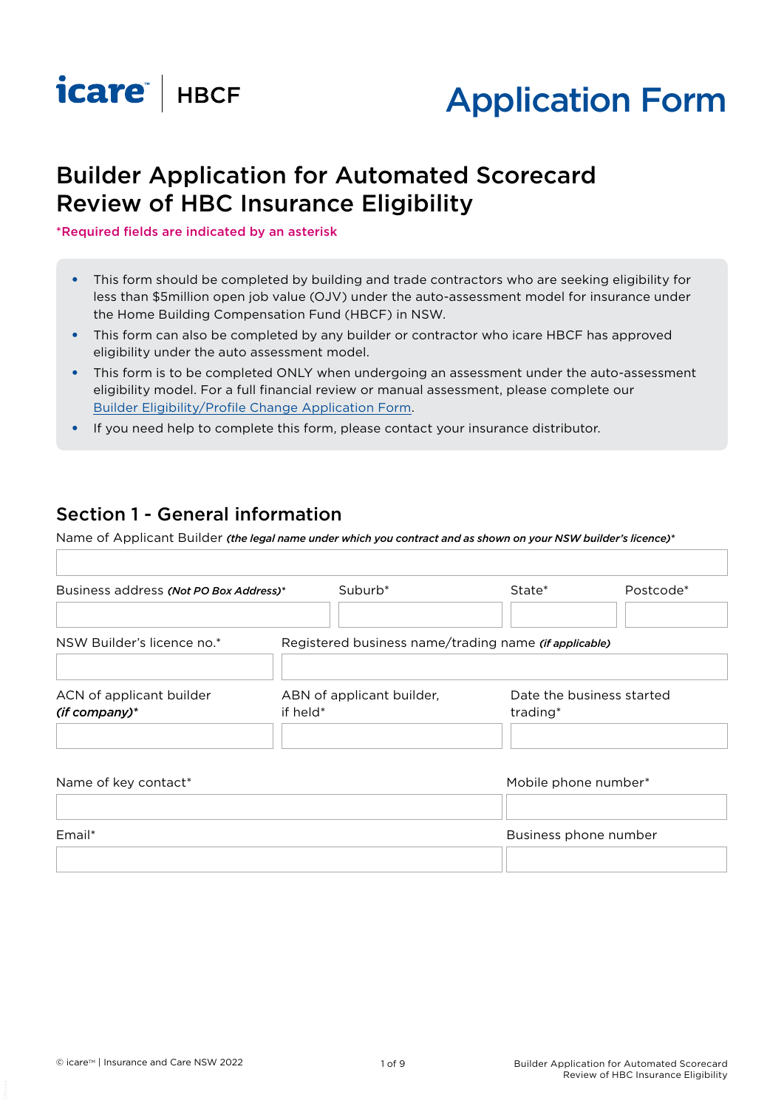



# Builder Application for Automated Scorecard Review of HBC Insurance Eligibility

\*Required fields are indicated by an asterisk

- This form should be completed by building and trade contractors who are seeking eligibility for less than \$5million open job value (OJV) under the auto-assessment model for insurance under the Home Building Compensation Fund (HBCF) in NSW.
- This form can also be completed by any builder or contractor who icare HBCF has approved eligibility under the auto assessment model.
- This form is to be completed ONLY when undergoing an assessment under the auto-assessment eligibility model. For a full financial review or manual assessment, please complete our [Builder Eligibility/Profile Change Application Form.](https://www.icare.nsw.gov.au/builders-and-homeowners/builders-and-distributors/eligibility/apply-for-eligibility)
- If you need help to complete this form, please contact your insurance distributor.

### Section 1 - General information

Name of Applicant Builder *(the legal name under which you contract and as shown on your NSW builder's licence)\**

| Business address (Not PO Box Address)*      |                                       | Suburb <sup>*</sup>                                   | State*                                | Postcode* |
|---------------------------------------------|---------------------------------------|-------------------------------------------------------|---------------------------------------|-----------|
| NSW Builder's licence no.*                  |                                       | Registered business name/trading name (if applicable) |                                       |           |
| ACN of applicant builder<br>$(if company)*$ | ABN of applicant builder,<br>if held* |                                                       | Date the business started<br>trading* |           |
| Name of key contact*                        |                                       |                                                       | Mobile phone number*                  |           |

| Email* | Business phone number |  |  |
|--------|-----------------------|--|--|
|        |                       |  |  |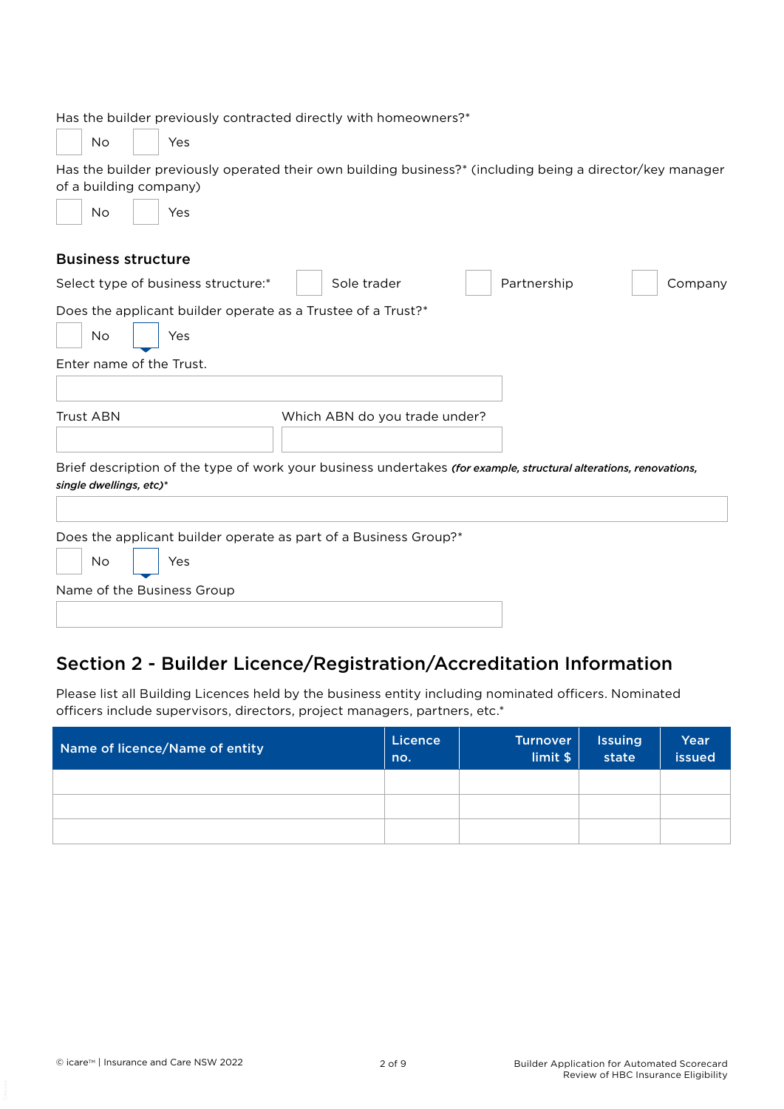| Has the builder previously contracted directly with homeowners?*                                                                             |                               |             |         |
|----------------------------------------------------------------------------------------------------------------------------------------------|-------------------------------|-------------|---------|
| <b>No</b><br>Yes                                                                                                                             |                               |             |         |
| Has the builder previously operated their own building business?* (including being a director/key manager<br>of a building company)          |                               |             |         |
| <b>No</b><br>Yes                                                                                                                             |                               |             |         |
| <b>Business structure</b>                                                                                                                    |                               |             |         |
| Select type of business structure:*                                                                                                          | Sole trader                   | Partnership | Company |
| Does the applicant builder operate as a Trustee of a Trust?*<br>No<br>Yes                                                                    |                               |             |         |
| Enter name of the Trust.                                                                                                                     |                               |             |         |
| <b>Trust ABN</b>                                                                                                                             | Which ABN do you trade under? |             |         |
| Brief description of the type of work your business undertakes (for example, structural alterations, renovations,<br>single dwellings, etc)* |                               |             |         |
| Does the applicant builder operate as part of a Business Group?*                                                                             |                               |             |         |
| No<br>Yes                                                                                                                                    |                               |             |         |
| Name of the Business Group                                                                                                                   |                               |             |         |
|                                                                                                                                              |                               |             |         |

## Section 2 - Builder Licence/Registration/Accreditation Information

Please list all Building Licences held by the business entity including nominated officers. Nominated officers include supervisors, directors, project managers, partners, etc.\*

| Name of licence/Name of entity | Licence<br>no. | Turnover<br>limit \$ | <b>Issuing</b><br>state | Year<br>issued |
|--------------------------------|----------------|----------------------|-------------------------|----------------|
|                                |                |                      |                         |                |
|                                |                |                      |                         |                |
|                                |                |                      |                         |                |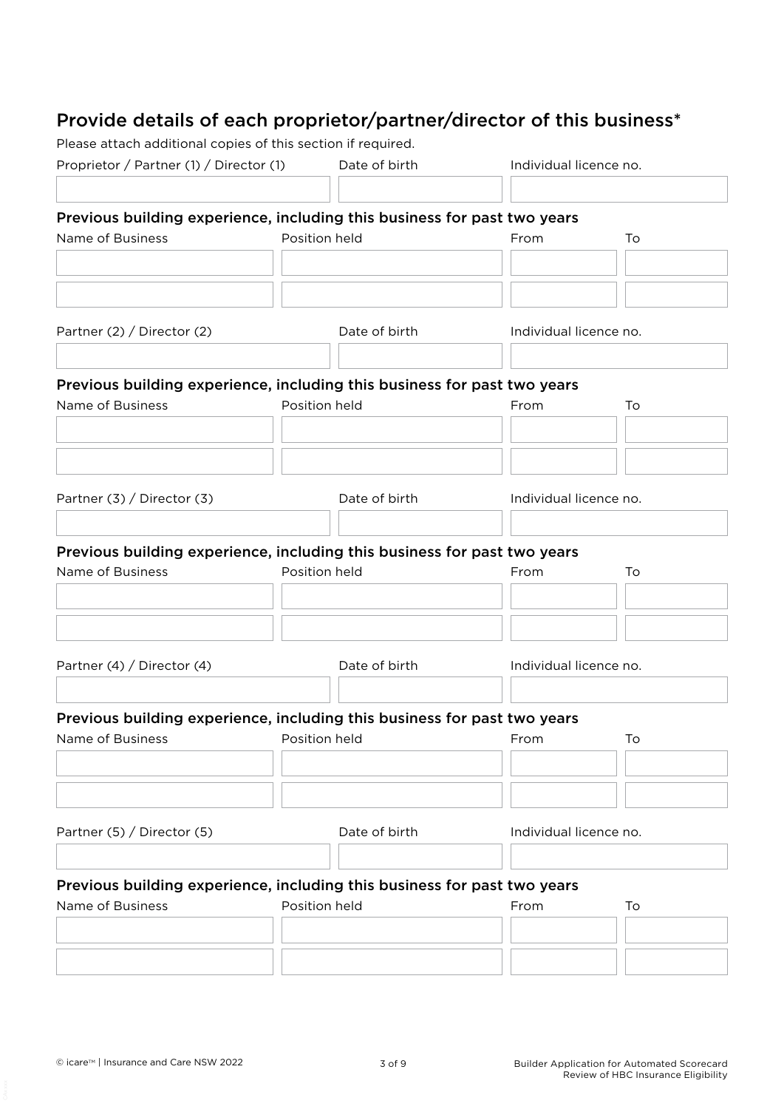## Provide details of each proprietor/partner/director of this business\*

Please attach additional copies of this section if required.

| Proprietor / Partner (1) / Director (1) Date of birth                                        |  |               | Individual licence no. |    |
|----------------------------------------------------------------------------------------------|--|---------------|------------------------|----|
|                                                                                              |  |               |                        |    |
| Previous building experience, including this business for past two years<br>Name of Business |  | Position held | From                   | To |
|                                                                                              |  |               |                        |    |
|                                                                                              |  |               |                        |    |
| Partner (2) / Director (2)                                                                   |  | Date of birth | Individual licence no. |    |
| Previous building experience, including this business for past two years                     |  |               |                        |    |
| Name of Business                                                                             |  | Position held | From                   | To |
|                                                                                              |  |               |                        |    |
|                                                                                              |  |               |                        |    |
| Partner (3) / Director (3)                                                                   |  | Date of birth | Individual licence no. |    |
|                                                                                              |  |               |                        |    |
| Previous building experience, including this business for past two years                     |  |               |                        |    |
| Name of Business                                                                             |  | Position held | From                   | To |
|                                                                                              |  |               |                        |    |
|                                                                                              |  |               |                        |    |
| Partner (4) / Director (4)                                                                   |  | Date of birth | Individual licence no. |    |
|                                                                                              |  |               |                        |    |
| Previous building experience, including this business for past two years                     |  |               |                        |    |
| Name of Business <b>Reserves</b> Position held <b>Reserves From From</b>                     |  |               |                        | To |
|                                                                                              |  |               |                        |    |
| Partner (5) / Director (5)                                                                   |  | Date of birth | Individual licence no. |    |
|                                                                                              |  |               |                        |    |
| Previous building experience, including this business for past two years<br>Name of Business |  | Position held |                        |    |
|                                                                                              |  |               | From                   | To |
|                                                                                              |  |               |                        |    |
|                                                                                              |  |               |                        |    |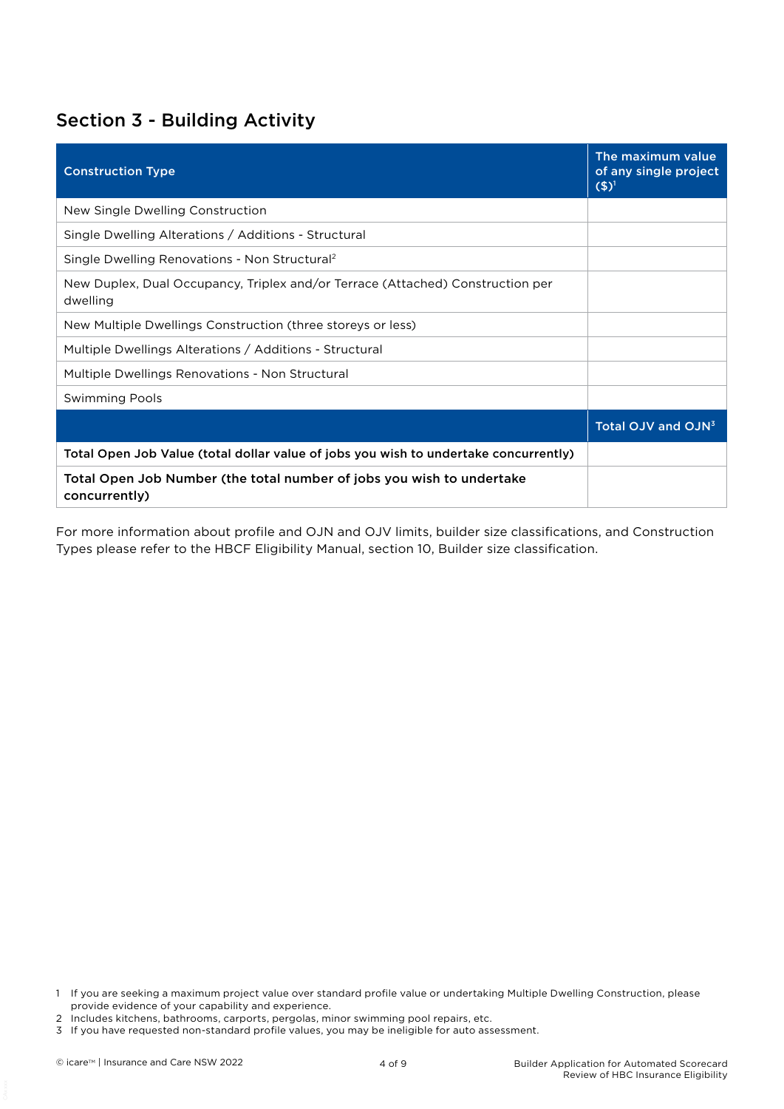### Section 3 - Building Activity

| <b>Construction Type</b>                                                                   | The maximum value<br>of any single project<br>$(5)^1$ |
|--------------------------------------------------------------------------------------------|-------------------------------------------------------|
| New Single Dwelling Construction                                                           |                                                       |
| Single Dwelling Alterations / Additions - Structural                                       |                                                       |
| Single Dwelling Renovations - Non Structural <sup>2</sup>                                  |                                                       |
| New Duplex, Dual Occupancy, Triplex and/or Terrace (Attached) Construction per<br>dwelling |                                                       |
| New Multiple Dwellings Construction (three storeys or less)                                |                                                       |
| Multiple Dwellings Alterations / Additions - Structural                                    |                                                       |
| Multiple Dwellings Renovations - Non Structural                                            |                                                       |
| <b>Swimming Pools</b>                                                                      |                                                       |
|                                                                                            | Total OJV and OJN <sup>3</sup>                        |
| Total Open Job Value (total dollar value of jobs you wish to undertake concurrently)       |                                                       |
| Total Open Job Number (the total number of jobs you wish to undertake<br>concurrently)     |                                                       |

For more information about profile and OJN and OJV limits, builder size classifications, and Construction Types please refer to the HBCF Eligibility Manual, section 10, Builder size classification.

<sup>1</sup> If you are seeking a maximum project value over standard profile value or undertaking Multiple Dwelling Construction, please provide evidence of your capability and experience.

<sup>2</sup> Includes kitchens, bathrooms, carports, pergolas, minor swimming pool repairs, etc.

<sup>3</sup> If you have requested non-standard profile values, you may be ineligible for auto assessment.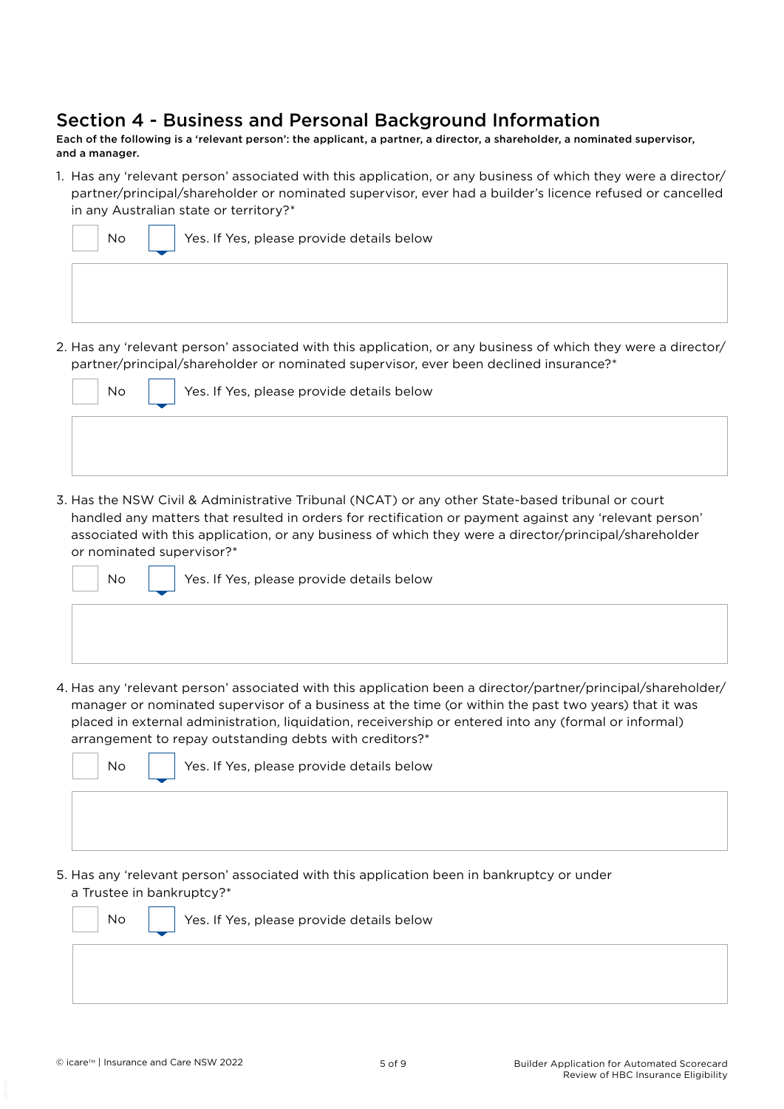### Section 4 - Business and Personal Background Information

Each of the following is a 'relevant person': the applicant, a partner, a director, a shareholder, a nominated supervisor, and a manager.

1. Has any 'relevant person' associated with this application, or any business of which they were a director/ partner/principal/shareholder or nominated supervisor, ever had a builder's licence refused or cancelled in any Australian state or territory?\*

| No | Yes. If Yes, please provide details below |
|----|-------------------------------------------|
|    |                                           |
|    |                                           |

2. Has any 'relevant person' associated with this application, or any business of which they were a director/ partner/principal/shareholder or nominated supervisor, ever been declined insurance?\*

| <b>No</b> | Yes. If Yes, please provide details below |
|-----------|-------------------------------------------|
|           |                                           |
|           |                                           |

3. Has the NSW Civil & Administrative Tribunal (NCAT) or any other State-based tribunal or court handled any matters that resulted in orders for rectification or payment against any 'relevant person' associated with this application, or any business of which they were a director/principal/shareholder or nominated supervisor?\*

 $\overline{N}$   $\overline{y}$   $\overline{y}$  Yes. If Yes, please provide details below

4. Has any 'relevant person' associated with this application been a director/partner/principal/shareholder/ manager or nominated supervisor of a business at the time (or within the past two years) that it was placed in external administration, liquidation, receivership or entered into any (formal or informal) arrangement to repay outstanding debts with creditors?\*



No  $\parallel$  Yes. If Yes, please provide details below

5. Has any 'relevant person' associated with this application been in bankruptcy or under a Trustee in bankruptcy?\*

 $\overline{N}$   $\overline{N}$   $\overline{N}$  Yes. If Yes, please provide details below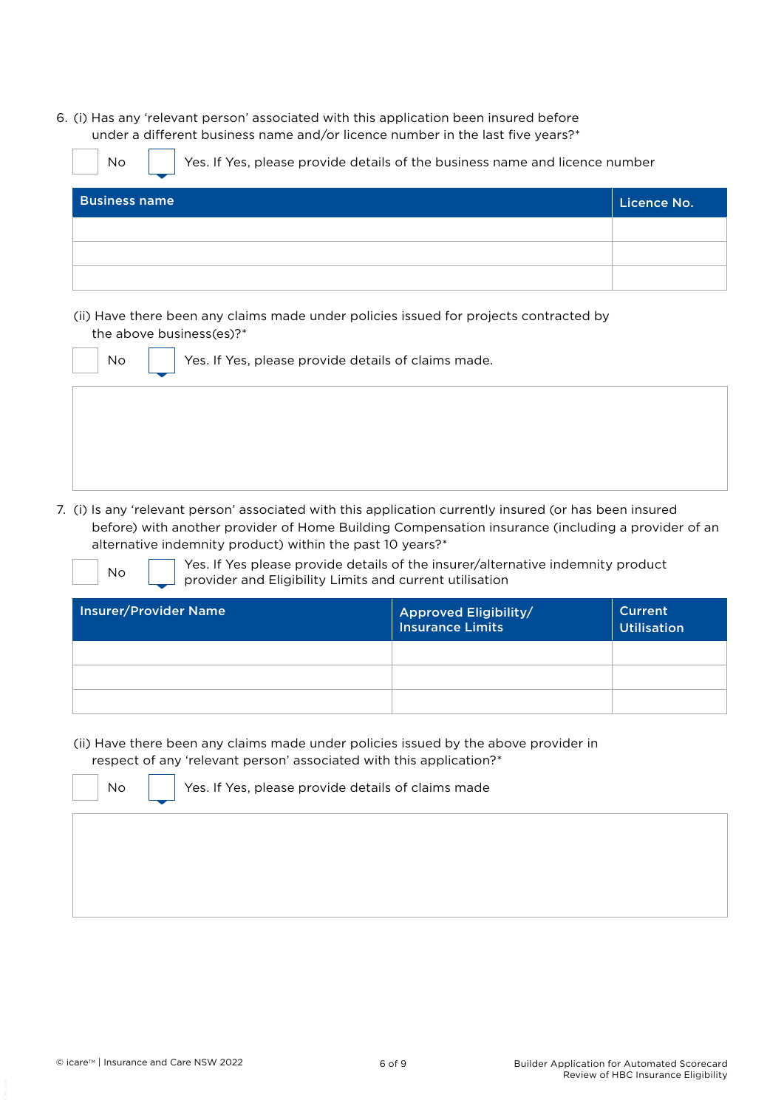6. (i) Has any 'relevant person' associated with this application been insured before under a different business name and/or licence number in the last five years?\*

No  $\parallel$  Yes. If Yes, please provide details of the business name and licence number Business name Licence No. 2008 and 2008 and 2008 and 2008 and 2008 and 2008 and 2008 and 2008 and 2008 and 200

(ii) Have there been any claims made under policies issued for projects contracted by the above business(es)?\*

| No | Yes. If Yes, please provide details of claims made. |  |  |  |
|----|-----------------------------------------------------|--|--|--|
|    |                                                     |  |  |  |
|    |                                                     |  |  |  |
|    |                                                     |  |  |  |

7. (i) Is any 'relevant person' associated with this application currently insured (or has been insured before) with another provider of Home Building Compensation insurance (including a provider of an alternative indemnity product) within the past 10 years?\*

 $\overline{a}$ 

No **Yes.** If Yes please provide details of the insurer/alternative indemnity product provider and Eligibility Limits and current utilisation

| <b>Insurer/Provider Name</b> | <b>Approved Eligibility/</b><br>Insurance Limits | Current<br><b>Utilisation</b> |
|------------------------------|--------------------------------------------------|-------------------------------|
|                              |                                                  |                               |
|                              |                                                  |                               |
|                              |                                                  |                               |

(ii) Have there been any claims made under policies issued by the above provider in

respect of any 'relevant person' associated with this application?\*



No  $\parallel$  Yes. If Yes, please provide details of claims made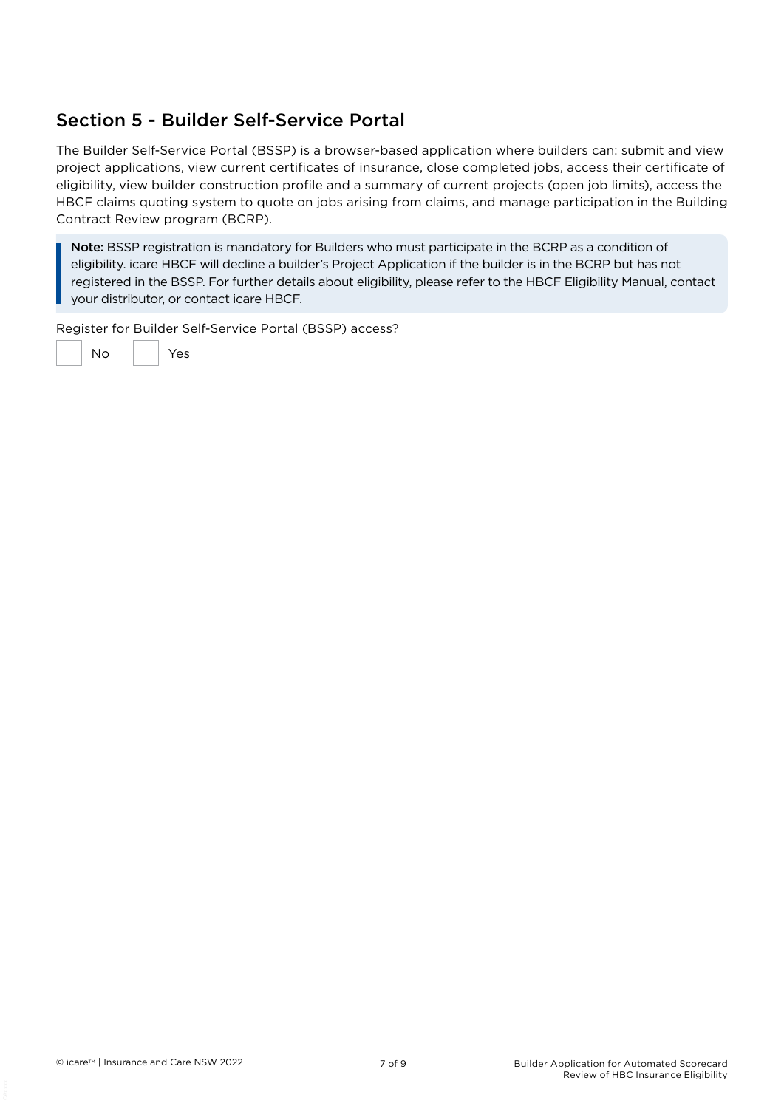## Section 5 - Builder Self-Service Portal

The Builder Self-Service Portal (BSSP) is a browser-based application where builders can: submit and view project applications, view current certificates of insurance, close completed jobs, access their certificate of eligibility, view builder construction profile and a summary of current projects (open job limits), access the HBCF claims quoting system to quote on jobs arising from claims, and manage participation in the Building Contract Review program (BCRP).

Note: BSSP registration is mandatory for Builders who must participate in the BCRP as a condition of eligibility. icare HBCF will decline a builder's Project Application if the builder is in the BCRP but has not registered in the BSSP. For further details about eligibility, please refer to the HBCF Eligibility Manual, contact your distributor, or contact icare HBCF.

Register for Builder Self-Service Portal (BSSP) access?

No Yes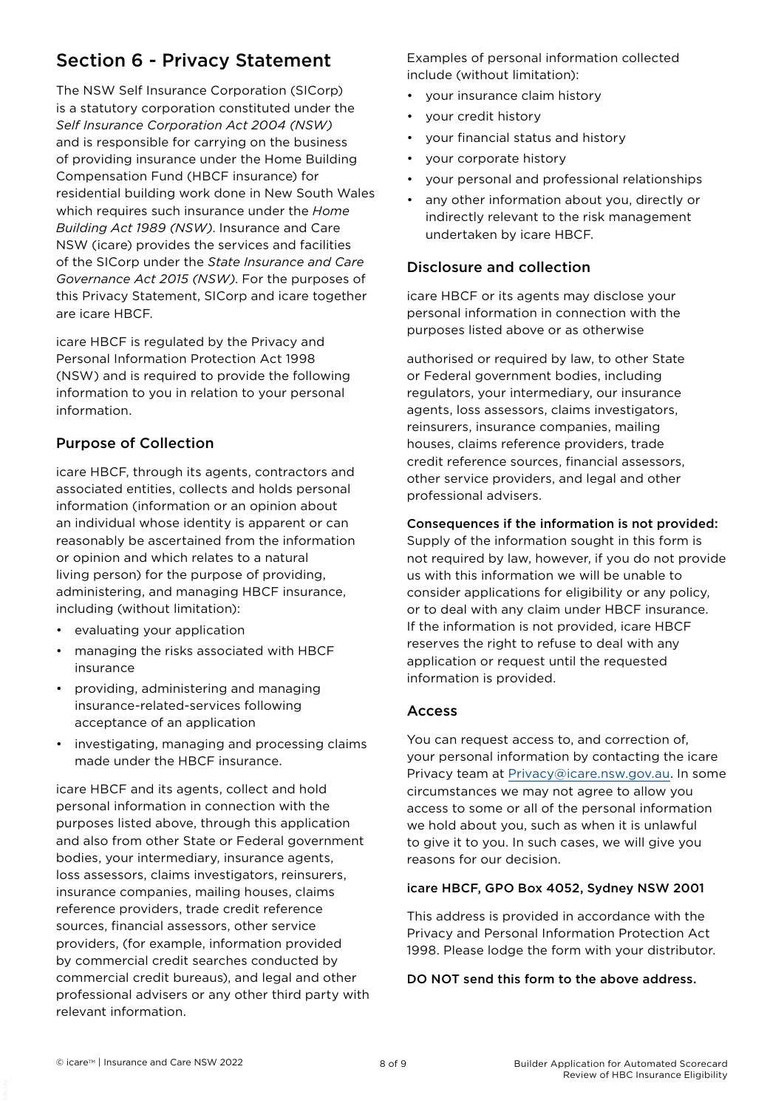## Section 6 - Privacy Statement

The NSW Self Insurance Corporation (SICorp) is a statutory corporation constituted under the *Self Insurance Corporation Act 2004 (NSW)* and is responsible for carrying on the business of providing insurance under the Home Building Compensation Fund (HBCF insurance) for residential building work done in New South Wales which requires such insurance under the *Home Building Act 1989 (NSW)*. Insurance and Care NSW (icare) provides the services and facilities of the SICorp under the *State Insurance and Care Governance Act 2015 (NSW)*. For the purposes of this Privacy Statement, SICorp and icare together are icare HBCF.

icare HBCF is regulated by the Privacy and Personal Information Protection Act 1998 (NSW) and is required to provide the following information to you in relation to your personal information.

### Purpose of Collection

icare HBCF, through its agents, contractors and associated entities, collects and holds personal information (information or an opinion about an individual whose identity is apparent or can reasonably be ascertained from the information or opinion and which relates to a natural living person) for the purpose of providing, administering, and managing HBCF insurance, including (without limitation):

- evaluating your application
- managing the risks associated with HBCF insurance
- providing, administering and managing insurance-related-services following acceptance of an application
- investigating, managing and processing claims made under the HBCF insurance.

icare HBCF and its agents, collect and hold personal information in connection with the purposes listed above, through this application and also from other State or Federal government bodies, your intermediary, insurance agents, loss assessors, claims investigators, reinsurers, insurance companies, mailing houses, claims reference providers, trade credit reference sources, financial assessors, other service providers, (for example, information provided by commercial credit searches conducted by commercial credit bureaus), and legal and other professional advisers or any other third party with relevant information.

Examples of personal information collected include (without limitation):

- your insurance claim history
- your credit history
- your financial status and history
- your corporate history
- your personal and professional relationships
- any other information about you, directly or indirectly relevant to the risk management undertaken by icare HBCF.

### Disclosure and collection

icare HBCF or its agents may disclose your personal information in connection with the purposes listed above or as otherwise

authorised or required by law, to other State or Federal government bodies, including regulators, your intermediary, our insurance agents, loss assessors, claims investigators, reinsurers, insurance companies, mailing houses, claims reference providers, trade credit reference sources, financial assessors, other service providers, and legal and other professional advisers.

#### Consequences if the information is not provided:

Supply of the information sought in this form is not required by law, however, if you do not provide us with this information we will be unable to consider applications for eligibility or any policy, or to deal with any claim under HBCF insurance. If the information is not provided, icare HBCF reserves the right to refuse to deal with any application or request until the requested information is provided.

### Access

You can request access to, and correction of, your personal information by contacting the icare Privacy team at [Privacy@icare.nsw.gov.au](mailto:Privacy%40icare.nsw.gov.au?subject=). In some circumstances we may not agree to allow you access to some or all of the personal information we hold about you, such as when it is unlawful to give it to you. In such cases, we will give you reasons for our decision.

#### icare HBCF, GPO Box 4052, Sydney NSW 2001

This address is provided in accordance with the Privacy and Personal Information Protection Act 1998. Please lodge the form with your distributor.

#### DO NOT send this form to the above address.